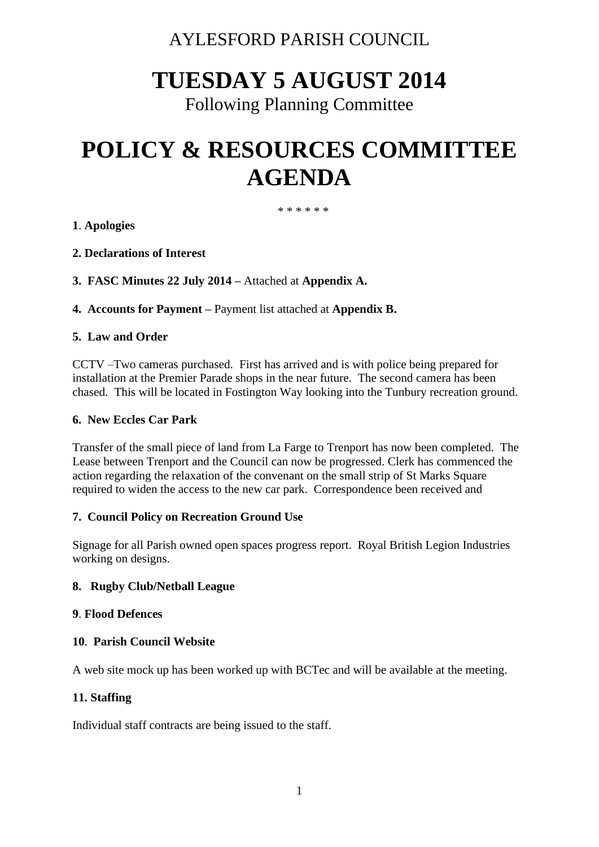### AYLESFORD PARISH COUNCIL

## **TUESDAY 5 AUGUST 2014**

Following Planning Committee

# **POLICY & RESOURCES COMMITTEE AGENDA**

\* \* \* \* \* \*

#### **1**. **Apologies**

- **2. Declarations of Interest**
- **3. FASC Minutes 22 July 2014 –** Attached at **Appendix A.**
- **4. Accounts for Payment –** Payment list attached at **Appendix B.**

#### **5. Law and Order**

CCTV –Two cameras purchased. First has arrived and is with police being prepared for installation at the Premier Parade shops in the near future. The second camera has been chased. This will be located in Fostington Way looking into the Tunbury recreation ground.

#### **6. New Eccles Car Park**

Transfer of the small piece of land from La Farge to Trenport has now been completed. The Lease between Trenport and the Council can now be progressed. Clerk has commenced the action regarding the relaxation of the convenant on the small strip of St Marks Square required to widen the access to the new car park. Correspondence been received and

#### **7. Council Policy on Recreation Ground Use**

Signage for all Parish owned open spaces progress report. Royal British Legion Industries working on designs.

#### **8. Rugby Club/Netball League**

#### **9**. **Flood Defences**

#### **10**. **Parish Council Website**

A web site mock up has been worked up with BCTec and will be available at the meeting.

#### **11. Staffing**

Individual staff contracts are being issued to the staff.